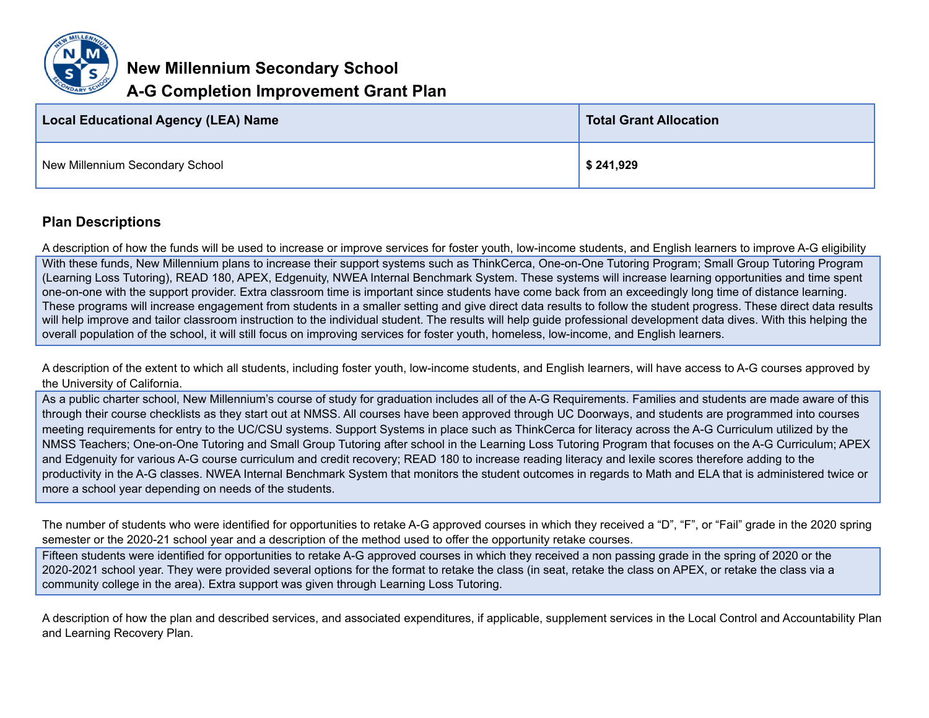

**New Millennium Secondary School**

## **A-G Completion Improvement Grant Plan**

| <b>Local Educational Agency (LEA) Name</b> | <b>Total Grant Allocation</b> |
|--------------------------------------------|-------------------------------|
| New Millennium Secondary School            | \$241,929                     |

## **Plan Descriptions**

A description of how the funds will be used to increase or improve services for foster youth, low-income students, and English learners to improve A-G eligibility

With these funds, New Millennium plans to increase their support systems such as ThinkCerca, One-on-One Tutoring Program; Small Group Tutoring Program (Learning Loss Tutoring), READ 180, APEX, Edgenuity, NWEA Internal Benchmark System. These systems will increase learning opportunities and time spent one-on-one with the support provider. Extra classroom time is important since students have come back from an exceedingly long time of distance learning. These programs will increase engagement from students in a smaller setting and give direct data results to follow the student progress. These direct data results will help improve and tailor classroom instruction to the individual student. The results will help guide professional development data dives. With this helping the overall population of the school, it will still focus on improving services for foster youth, homeless, low-income, and English learners.

A description of the extent to which all students, including foster youth, low-income students, and English learners, will have access to A-G courses approved by the University of California.

As a public charter school, New Millennium's course of study for graduation includes all of the A-G Requirements. Families and students are made aware of this through their course checklists as they start out at NMSS. All courses have been approved through UC Doorways, and students are programmed into courses meeting requirements for entry to the UC/CSU systems. Support Systems in place such as ThinkCerca for literacy across the A-G Curriculum utilized by the NMSS Teachers; One-on-One Tutoring and Small Group Tutoring after school in the Learning Loss Tutoring Program that focuses on the A-G Curriculum; APEX and Edgenuity for various A-G course curriculum and credit recovery; READ 180 to increase reading literacy and lexile scores therefore adding to the productivity in the A-G classes. NWEA Internal Benchmark System that monitors the student outcomes in regards to Math and ELA that is administered twice or more a school year depending on needs of the students.

The number of students who were identified for opportunities to retake A-G approved courses in which they received a "D", "F", or "Fail" grade in the 2020 spring semester or the 2020-21 school year and a description of the method used to offer the opportunity retake courses.

Fifteen students were identified for opportunities to retake A-G approved courses in which they received a non passing grade in the spring of 2020 or the 2020-2021 school year. They were provided several options for the format to retake the class (in seat, retake the class on APEX, or retake the class via a community college in the area). Extra support was given through Learning Loss Tutoring.

A description of how the plan and described services, and associated expenditures, if applicable, supplement services in the Local Control and Accountability Plan and Learning Recovery Plan.